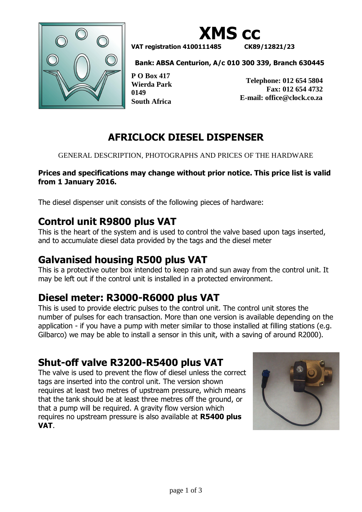



**VAT registration 4100111485 CK89/12821/23**

**Bank: ABSA Centurion, A/c 010 300 339, Branch 630445**

**P O Box 417 Wierda Park 0149 South Africa**

**Telephone: 012 654 5804 Fax: 012 654 4732 E-mail: office@clock.co.za**

# **AFRICLOCK DIESEL DISPENSER**

#### GENERAL DESCRIPTION, PHOTOGRAPHS AND PRICES OF THE HARDWARE

### **Prices and specifications may change without prior notice. This price list is valid from 1 January 2016.**

The diesel dispenser unit consists of the following pieces of hardware:

## **Control unit R9800 plus VAT**

This is the heart of the system and is used to control the valve based upon tags inserted, and to accumulate diesel data provided by the tags and the diesel meter

# **Galvanised housing R500 plus VAT**

This is a protective outer box intended to keep rain and sun away from the control unit. It may be left out if the control unit is installed in a protected environment.

# **Diesel meter: R3000-R6000 plus VAT**

This is used to provide electric pulses to the control unit. The control unit stores the number of pulses for each transaction. More than one version is available depending on the application - if you have a pump with meter similar to those installed at filling stations (e.g. Gilbarco) we may be able to install a sensor in this unit, with a saving of around R2000).

# **Shut-off valve R3200-R5400 plus VAT**

The valve is used to prevent the flow of diesel unless the correct tags are inserted into the control unit. The version shown requires at least two metres of upstream pressure, which means that the tank should be at least three metres off the ground, or that a pump will be required. A gravity flow version which requires no upstream pressure is also available at **R5400 plus VAT**.

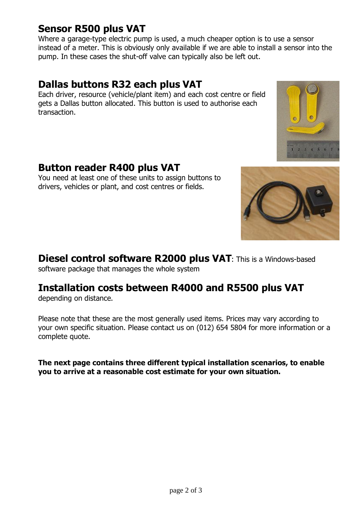### **Sensor R500 plus VAT**

Where a garage-type electric pump is used, a much cheaper option is to use a sensor instead of a meter. This is obviously only available if we are able to install a sensor into the pump. In these cases the shut-off valve can typically also be left out.

### **Dallas buttons R32 each plus VAT**

Each driver, resource (vehicle/plant item) and each cost centre or field gets a Dallas button allocated. This button is used to authorise each transaction.

## **Button reader R400 plus VAT**

You need at least one of these units to assign buttons to drivers, vehicles or plant, and cost centres or fields.





**Diesel control software R2000 plus VAT**: This is a Windows-based

software package that manages the whole system

# **Installation costs between R4000 and R5500 plus VAT**

depending on distance.

Please note that these are the most generally used items. Prices may vary according to your own specific situation. Please contact us on (012) 654 5804 for more information or a complete quote.

**The next page contains three different typical installation scenarios, to enable you to arrive at a reasonable cost estimate for your own situation.**